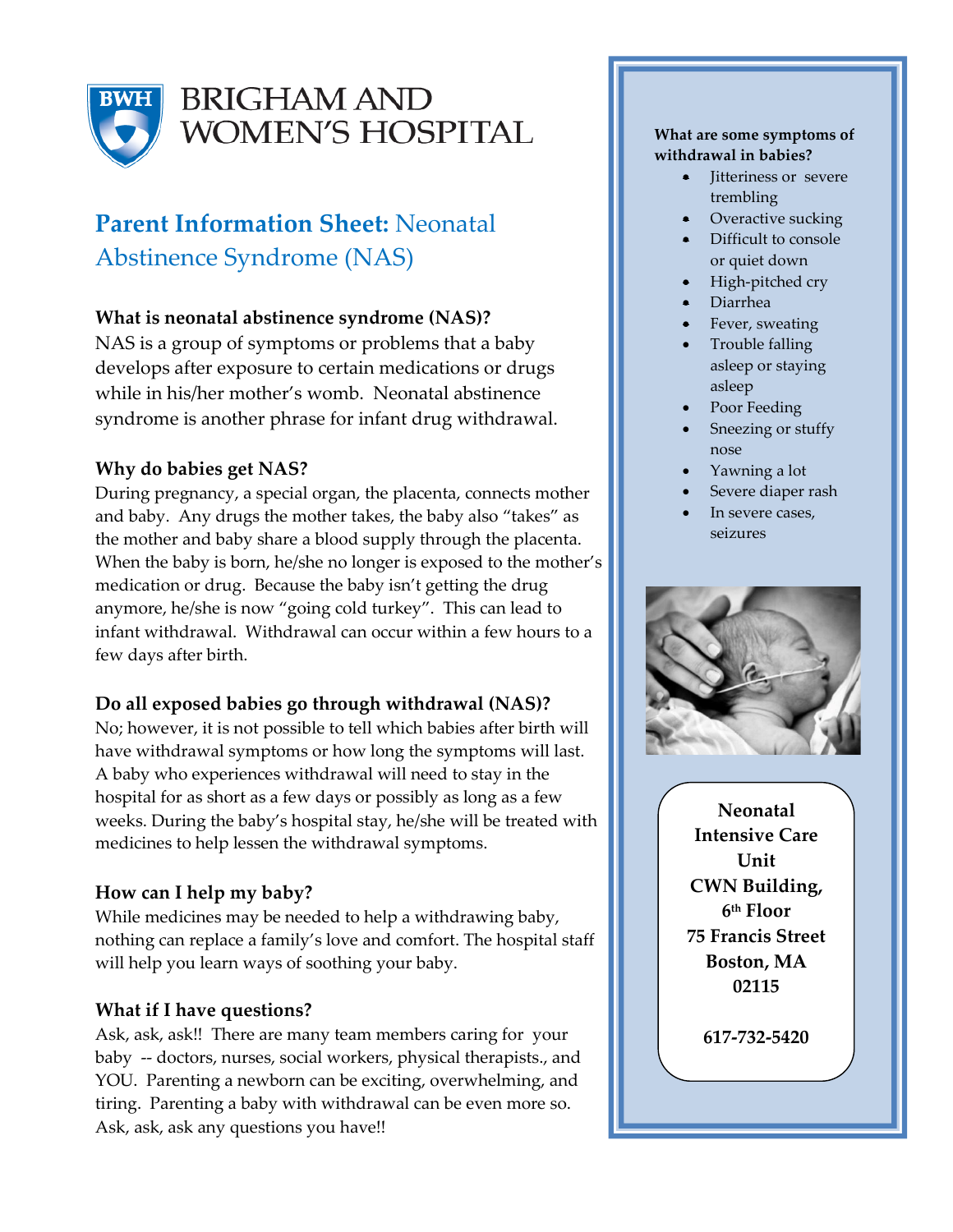

## **BRIGHAM AND** WOMEN'S HOSPITAL

### **Parent Information Sheet:** Neonatal Abstinence Syndrome (NAS)

#### **What is neonatal abstinence syndrome (NAS)?**

NAS is a group of symptoms or problems that a baby develops after exposure to certain medications or drugs while in his/her mother's womb. Neonatal abstinence syndrome is another phrase for infant drug withdrawal.

### **Why do babies get NAS?**

During pregnancy, a special organ, the placenta, connects mother and baby. Any drugs the mother takes, the baby also "takes" as the mother and baby share a blood supply through the placenta. When the baby is born, he/she no longer is exposed to the mother's medication or drug. Because the baby isn't getting the drug anymore, he/she is now "going cold turkey". This can lead to infant withdrawal. Withdrawal can occur within a few hours to a few days after birth.

### **Do all exposed babies go through withdrawal (NAS)?**

No; however, it is not possible to tell which babies after birth will have withdrawal symptoms or how long the symptoms will last. A baby who experiences withdrawal will need to stay in the hospital for as short as a few days or possibly as long as a few weeks. During the baby's hospital stay, he/she will be treated with medicines to help lessen the withdrawal symptoms.

### **How can I help my baby?**

While medicines may be needed to help a withdrawing baby, nothing can replace a family's love and comfort. The hospital staff will help you learn ways of soothing your baby.

#### **What if I have questions?**

Ask, ask, ask!! There are many team members caring for your baby -- doctors, nurses, social workers, physical therapists., and YOU. Parenting a newborn can be exciting, overwhelming, and tiring. Parenting a baby with withdrawal can be even more so. Ask, ask, ask any questions you have!!

#### **What are some symptoms of withdrawal in babies?**

- Jitteriness or severe trembling
- Overactive sucking
- Difficult to console or quiet down
- High-pitched cry
- Diarrhea
- Fever, sweating
- Trouble falling asleep or staying asleep
- Poor Feeding
- Sneezing or stuffy nose
- Yawning a lot
- Severe diaper rash
- In severe cases, seizures



**Neonatal Intensive Care Unit CWN Building, 6 th Floor 75 Francis Street Boston, MA 02115**

**617-732-5420**